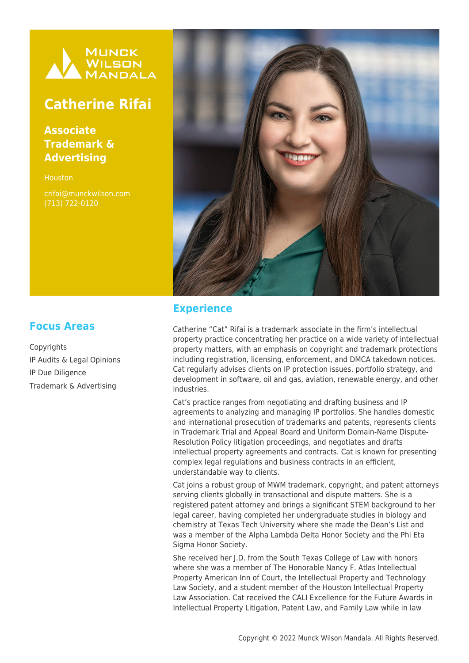

# **Catherine Rifai**

**Associate Trademark & Advertising**

**Houston** 

crifai@munckwilson.com (713) 722-0120



### **Experience**

Catherine "Cat" Rifai is a trademark associate in the firm's intellectual property practice concentrating her practice on a wide variety of intellectual property matters, with an emphasis on copyright and trademark protections including registration, licensing, enforcement, and DMCA takedown notices. Cat regularly advises clients on IP protection issues, portfolio strategy, and development in software, oil and gas, aviation, renewable energy, and other industries.

Cat's practice ranges from negotiating and drafting business and IP agreements to analyzing and managing IP portfolios. She handles domestic and international prosecution of trademarks and patents, represents clients in Trademark Trial and Appeal Board and Uniform Domain-Name Dispute-Resolution Policy litigation proceedings, and negotiates and drafts intellectual property agreements and contracts. Cat is known for presenting complex legal regulations and business contracts in an efficient, understandable way to clients.

Cat joins a robust group of MWM trademark, copyright, and patent attorneys serving clients globally in transactional and dispute matters. She is a registered patent attorney and brings a significant STEM background to her legal career, having completed her undergraduate studies in biology and chemistry at Texas Tech University where she made the Dean's List and was a member of the Alpha Lambda Delta Honor Society and the Phi Eta Sigma Honor Society.

She received her I.D. from the South Texas College of Law with honors where she was a member of The Honorable Nancy F. Atlas Intellectual Property American Inn of Court, the Intellectual Property and Technology Law Society, and a student member of the Houston Intellectual Property Law Association. Cat received the CALI Excellence for the Future Awards in Intellectual Property Litigation, Patent Law, and Family Law while in law

# **Focus Areas**

Copyrights IP Audits & Legal Opinions IP Due Diligence Trademark & Advertising